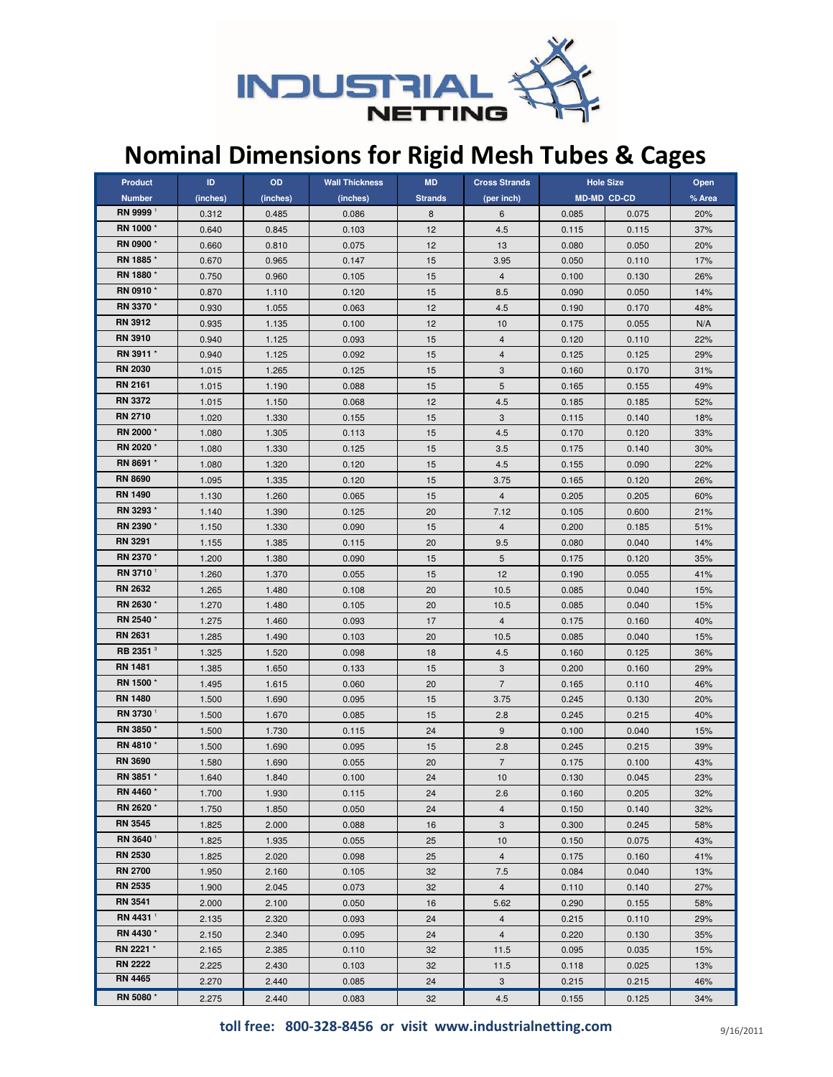

## Nominal Dimensions for Rigid Mesh Tubes & Cages

| <b>Product</b>       | ID.      | OD       | <b>Wall Thickness</b> | <b>MD</b>      | <b>Cross Strands</b> | <b>Hole Size</b>   |       | Open   |
|----------------------|----------|----------|-----------------------|----------------|----------------------|--------------------|-------|--------|
| <b>Number</b>        | (inches) | (inches) | (inches)              | <b>Strands</b> | (per inch)           | <b>MD-MD CD-CD</b> |       | % Area |
| RN 9999 <sup>1</sup> | 0.312    | 0.485    | 0.086                 | 8              | 6                    | 0.085              | 0.075 | 20%    |
| RN 1000*             | 0.640    | 0.845    | 0.103                 | 12             | 4.5                  | 0.115              | 0.115 | 37%    |
| RN 0900*             | 0.660    | 0.810    | 0.075                 | 12             | 13                   | 0.080              | 0.050 | 20%    |
| RN 1885*             | 0.670    | 0.965    | 0.147                 | 15             | 3.95                 | 0.050              | 0.110 | 17%    |
| RN 1880*             | 0.750    | 0.960    | 0.105                 | 15             | $\overline{4}$       | 0.100              | 0.130 | 26%    |
| RN 0910*             | 0.870    | 1.110    | 0.120                 | 15             | 8.5                  | 0.090              | 0.050 | 14%    |
| RN 3370 *            | 0.930    | 1.055    | 0.063                 | 12             | 4.5                  | 0.190              | 0.170 | 48%    |
| <b>RN 3912</b>       | 0.935    | 1.135    | 0.100                 | 12             | 10                   | 0.175              | 0.055 | N/A    |
| <b>RN 3910</b>       | 0.940    | 1.125    | 0.093                 | 15             | $\overline{4}$       | 0.120              | 0.110 | 22%    |
| RN 3911 *            | 0.940    | 1.125    | 0.092                 | 15             | $\overline{4}$       | 0.125              | 0.125 | 29%    |
| <b>RN 2030</b>       | 1.015    | 1.265    | 0.125                 | 15             | 3                    | 0.160              | 0.170 | 31%    |
| <b>RN 2161</b>       | 1.015    | 1.190    | 0.088                 | 15             | 5                    | 0.165              | 0.155 | 49%    |
| <b>RN 3372</b>       | 1.015    | 1.150    | 0.068                 | 12             | 4.5                  | 0.185              | 0.185 | 52%    |
| <b>RN 2710</b>       | 1.020    | 1.330    | 0.155                 | 15             | 3                    | 0.115              | 0.140 | 18%    |
| RN 2000*             | 1.080    | 1.305    | 0.113                 | 15             | 4.5                  | 0.170              | 0.120 | 33%    |
| RN 2020*             | 1.080    | 1.330    | 0.125                 | 15             | 3.5                  | 0.175              | 0.140 | 30%    |
| RN 8691 *            | 1.080    | 1.320    | 0.120                 | 15             | 4.5                  | 0.155              | 0.090 | 22%    |
| <b>RN 8690</b>       | 1.095    | 1.335    | 0.120                 | 15             | 3.75                 | 0.165              | 0.120 | 26%    |
| <b>RN 1490</b>       | 1.130    | 1.260    | 0.065                 | 15             | $\overline{4}$       | 0.205              | 0.205 | 60%    |
| RN 3293 *            | 1.140    | 1.390    | 0.125                 | 20             | 7.12                 | 0.105              | 0.600 | 21%    |
| RN 2390 *            | 1.150    | 1.330    | 0.090                 | 15             | $\overline{4}$       | 0.200              | 0.185 | 51%    |
| <b>RN 3291</b>       | 1.155    | 1.385    | 0.115                 | 20             | 9.5                  | 0.080              | 0.040 | 14%    |
| RN 2370 *            | 1.200    | 1.380    | 0.090                 | 15             | 5                    | 0.175              | 0.120 | 35%    |
| RN 3710 <sup>1</sup> | 1.260    | 1.370    | 0.055                 | 15             | 12                   | 0.190              | 0.055 | 41%    |
| <b>RN 2632</b>       | 1.265    | 1.480    | 0.108                 | 20             | 10.5                 | 0.085              | 0.040 | 15%    |
| RN 2630 *            | 1.270    | 1.480    | 0.105                 | 20             | 10.5                 | 0.085              | 0.040 | 15%    |
| RN 2540 *            | 1.275    | 1.460    | 0.093                 | 17             | $\overline{4}$       | 0.175              | 0.160 | 40%    |
| <b>RN 2631</b>       | 1.285    | 1.490    | 0.103                 | 20             | 10.5                 | 0.085              | 0.040 | 15%    |
| RB 2351 <sup>3</sup> | 1.325    | 1.520    | 0.098                 | 18             | 4.5                  | 0.160              | 0.125 | 36%    |
| <b>RN 1481</b>       | 1.385    | 1.650    | 0.133                 | 15             | 3                    | 0.200              | 0.160 | 29%    |
| RN 1500*             | 1.495    | 1.615    | 0.060                 | 20             | $\overline{7}$       | 0.165              | 0.110 | 46%    |
| <b>RN 1480</b>       | 1.500    | 1.690    | 0.095                 | 15             | 3.75                 | 0.245              | 0.130 | 20%    |
| RN 3730 <sup>1</sup> | 1.500    | 1.670    | 0.085                 | 15             | 2.8                  | 0.245              | 0.215 | 40%    |
| RN 3850*             | 1.500    | 1.730    | 0.115                 | 24             | 9                    | 0.100              | 0.040 | 15%    |
| RN 4810*             | 1.500    | 1.690    | 0.095                 | 15             | 2.8                  | 0.245              | 0.215 | 39%    |
| <b>RN 3690</b>       | 1.580    | 1.690    | 0.055                 | 20             | $\overline{7}$       | 0.175              | 0.100 | 43%    |
| RN 3851 *            | 1.640    | 1.840    | 0.100                 | 24             | 10                   | 0.130              | 0.045 | 23%    |
| RN 4460 *            | 1.700    | 1.930    | 0.115                 | 24             | 2.6                  | 0.160              | 0.205 | 32%    |
| RN 2620 *            | 1.750    | 1.850    | 0.050                 | 24             | $\overline{4}$       | 0.150              | 0.140 | 32%    |
| <b>RN 3545</b>       | 1.825    | 2.000    | 0.088                 | 16             | 3                    | 0.300              | 0.245 | 58%    |
| RN 3640 <sup>1</sup> | 1.825    | 1.935    | 0.055                 | 25             | 10                   | 0.150              | 0.075 | 43%    |
| <b>RN 2530</b>       | 1.825    | 2.020    | 0.098                 | 25             | $\overline{4}$       | 0.175              | 0.160 | 41%    |
| <b>RN 2700</b>       | 1.950    | 2.160    | 0.105                 | 32             | 7.5                  | 0.084              | 0.040 | 13%    |
| <b>RN 2535</b>       | 1.900    | 2.045    | 0.073                 | 32             | $\overline{4}$       | 0.110              | 0.140 | 27%    |
| <b>RN 3541</b>       | 2.000    | 2.100    | 0.050                 | 16             | 5.62                 | 0.290              | 0.155 | 58%    |
| RN 4431 <sup>1</sup> | 2.135    | 2.320    | 0.093                 | 24             | 4                    | 0.215              | 0.110 | 29%    |
| RN 4430 *            | 2.150    | 2.340    | 0.095                 | 24             | $\overline{4}$       | 0.220              | 0.130 | 35%    |
| RN 2221 *            | 2.165    | 2.385    | 0.110                 | 32             | 11.5                 | 0.095              | 0.035 | 15%    |
| <b>RN 2222</b>       | 2.225    | 2.430    | 0.103                 | 32             | 11.5                 | 0.118              | 0.025 | 13%    |
| <b>RN 4465</b>       | 2.270    | 2.440    | 0.085                 | 24             | 3                    | 0.215              | 0.215 | 46%    |
| RN 5080 *            | 2.275    | 2.440    | 0.083                 | 32             | 4.5                  | 0.155              | 0.125 | 34%    |

toll free: 800-328-8456 or visit www.industrialnetting.com  $9/16/2011$